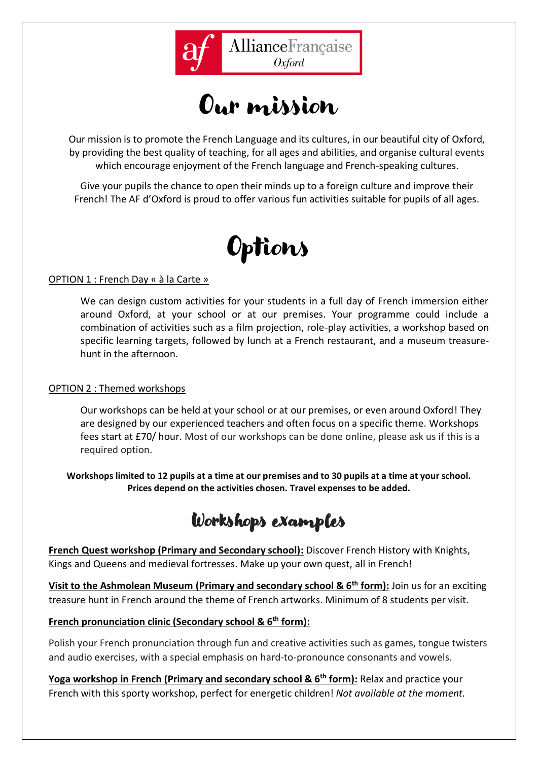

Our mission

Our mission is to promote the French Language and its cultures, in our beautiful city of Oxford, by providing the best quality of teaching, for all ages and abilities, and organise cultural events which encourage enjoyment of the French language and French-speaking cultures.

Give your pupils the chance to open their minds up to a foreign culture and improve their French! The AF d'Oxford is proud to offer various fun activities suitable for pupils of all ages.



## OPTION 1 : French Day « à la Carte »

We can design custom activities for your students in a full day of French immersion either around Oxford, at your school or at our premises. Your programme could include a combination of activities such as a film projection, role-play activities, a workshop based on specific learning targets, followed by lunch at a French restaurant, and a museum treasurehunt in the afternoon.

## OPTION 2 : Themed workshops

Our workshops can be held at your school or at our premises, or even around Oxford! They are designed by our experienced teachers and often focus on a specific theme. Workshops fees start at £70/ hour. Most of our workshops can be done online, please ask us if this is a required option.

**Workshops limited to 12 pupils at a time at our premises and to 30 pupils at a time at your school. Prices depend on the activities chosen. Travel expenses to be added.**

Workshops examples

**French Quest workshop (Primary and Secondary school):** Discover French History with Knights, Kings and Queens and medieval fortresses. Make up your own quest, all in French!

**Visit to the Ashmolean Museum (Primary and secondary school & 6th form):** Join us for an exciting treasure hunt in French around the theme of French artworks. Minimum of 8 students per visit.

## **French pronunciation clinic (Secondary school & 6th form):**

Polish your French pronunciation through fun and creative activities such as games, tongue twisters and audio exercises, with a special emphasis on hard-to-pronounce consonants and vowels.

**Yoga workshop in French (Primary and secondary school & 6th form):** Relax and practice your French with this sporty workshop, perfect for energetic children! *Not available at the moment.*